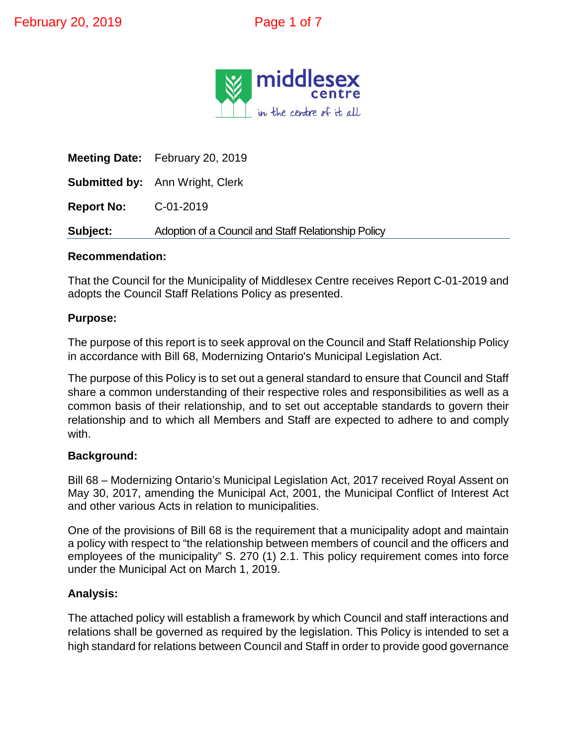

**Meeting Date:** February 20, 2019 **Submitted by:** Ann Wright, Clerk **Report No:** C-01-2019 **Subject:** Adoption of a Council and Staff Relationship Policy

#### **Recommendation:**

That the Council for the Municipality of Middlesex Centre receives Report C-01-2019 and adopts the Council Staff Relations Policy as presented.

#### **Purpose:**

The purpose of this report is to seek approval on the Council and Staff Relationship Policy in accordance with Bill 68, Modernizing Ontario's Municipal Legislation Act.

The purpose of this Policy is to set out a general standard to ensure that Council and Staff share a common understanding of their respective roles and responsibilities as well as a common basis of their relationship, and to set out acceptable standards to govern their relationship and to which all Members and Staff are expected to adhere to and comply with.

#### **Background:**

Bill 68 – Modernizing Ontario's Municipal Legislation Act, 2017 received Royal Assent on May 30, 2017, amending the Municipal Act, 2001, the Municipal Conflict of Interest Act and other various Acts in relation to municipalities.

One of the provisions of Bill 68 is the requirement that a municipality adopt and maintain a policy with respect to "the relationship between members of council and the officers and employees of the municipality" S. 270 (1) 2.1. This policy requirement comes into force under the Municipal Act on March 1, 2019.

#### **Analysis:**

The attached policy will establish a framework by which Council and staff interactions and relations shall be governed as required by the legislation. This Policy is intended to set a high standard for relations between Council and Staff in order to provide good governance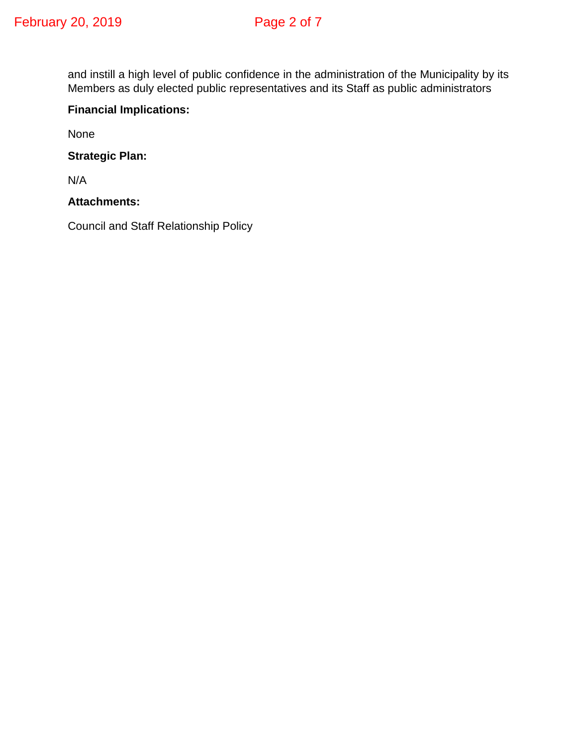and instill a high level of public confidence in the administration of the Municipality by its Members as duly elected public representatives and its Staff as public administrators

### **Financial Implications:**

None

**Strategic Plan:**

N/A

**Attachments:**

Council and Staff Relationship Policy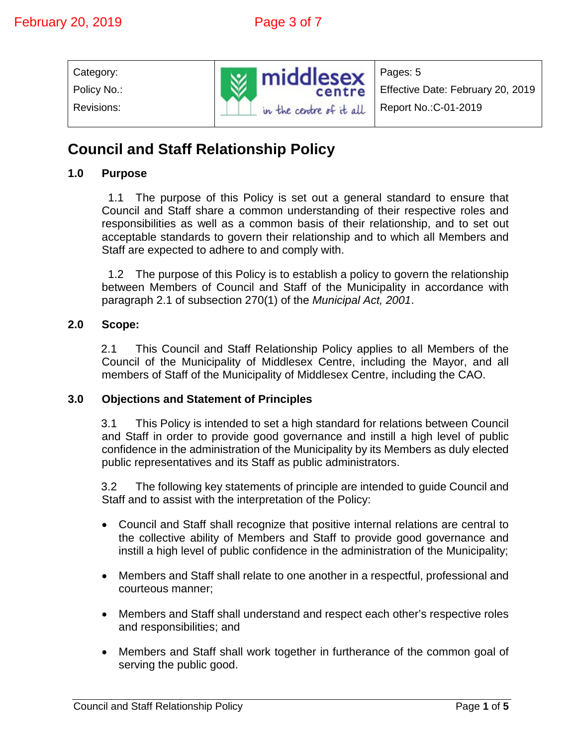| Category:   |                         | Pages: 5                          |
|-------------|-------------------------|-----------------------------------|
| Policy No.: | <b>W</b> middlesex      | Effective Date: February 20, 2019 |
| Revisions:  | in the centre of it all | Report No.: C-01-2019             |

# **Council and Staff Relationship Policy**

#### **1.0 Purpose**

1.1 The purpose of this Policy is set out a general standard to ensure that Council and Staff share a common understanding of their respective roles and responsibilities as well as a common basis of their relationship, and to set out acceptable standards to govern their relationship and to which all Members and Staff are expected to adhere to and comply with.

1.2 The purpose of this Policy is to establish a policy to govern the relationship between Members of Council and Staff of the Municipality in accordance with paragraph 2.1 of subsection 270(1) of the *Municipal Act, 2001*.

#### **2.0 Scope:**

2.1 This Council and Staff Relationship Policy applies to all Members of the Council of the Municipality of Middlesex Centre, including the Mayor, and all members of Staff of the Municipality of Middlesex Centre, including the CAO.

#### **3.0 Objections and Statement of Principles**

3.1 This Policy is intended to set a high standard for relations between Council and Staff in order to provide good governance and instill a high level of public confidence in the administration of the Municipality by its Members as duly elected public representatives and its Staff as public administrators.

3.2 The following key statements of principle are intended to guide Council and Staff and to assist with the interpretation of the Policy:

- Council and Staff shall recognize that positive internal relations are central to the collective ability of Members and Staff to provide good governance and instill a high level of public confidence in the administration of the Municipality;
- Members and Staff shall relate to one another in a respectful, professional and courteous manner;
- Members and Staff shall understand and respect each other's respective roles and responsibilities; and
- Members and Staff shall work together in furtherance of the common goal of serving the public good.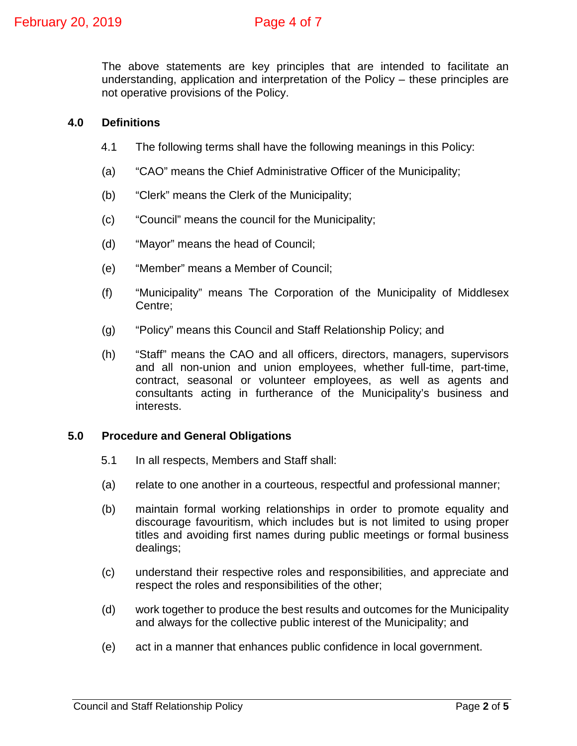The above statements are key principles that are intended to facilitate an understanding, application and interpretation of the Policy – these principles are not operative provisions of the Policy.

# **4.0 Definitions**

- 4.1 The following terms shall have the following meanings in this Policy:
- (a) "CAO" means the Chief Administrative Officer of the Municipality;
- (b) "Clerk" means the Clerk of the Municipality;
- (c) "Council" means the council for the Municipality;
- (d) "Mayor" means the head of Council;
- (e) "Member" means a Member of Council;
- (f) "Municipality" means The Corporation of the Municipality of Middlesex Centre;
- (g) "Policy" means this Council and Staff Relationship Policy; and
- (h) "Staff" means the CAO and all officers, directors, managers, supervisors and all non-union and union employees, whether full-time, part-time, contract, seasonal or volunteer employees, as well as agents and consultants acting in furtherance of the Municipality's business and interests.

## **5.0 Procedure and General Obligations**

- 5.1 In all respects, Members and Staff shall:
- (a) relate to one another in a courteous, respectful and professional manner;
- (b) maintain formal working relationships in order to promote equality and discourage favouritism, which includes but is not limited to using proper titles and avoiding first names during public meetings or formal business dealings;
- (c) understand their respective roles and responsibilities, and appreciate and respect the roles and responsibilities of the other;
- (d) work together to produce the best results and outcomes for the Municipality and always for the collective public interest of the Municipality; and
- (e) act in a manner that enhances public confidence in local government.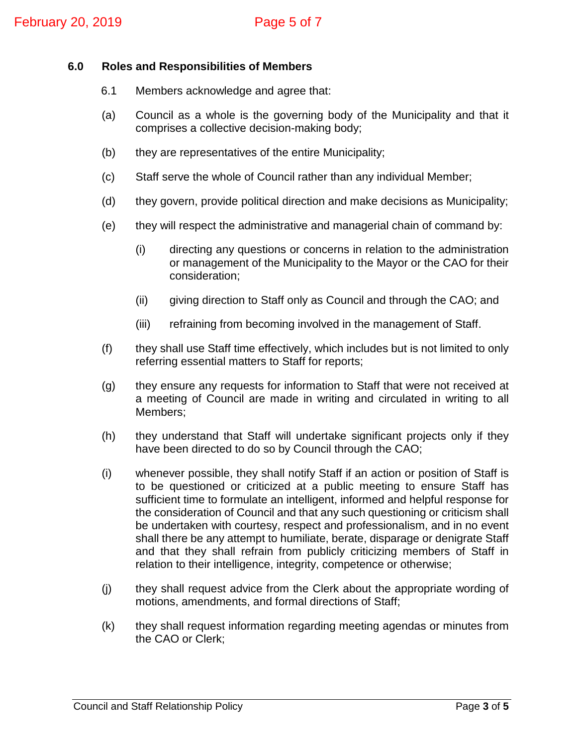#### **6.0 Roles and Responsibilities of Members**

- 6.1 Members acknowledge and agree that:
- (a) Council as a whole is the governing body of the Municipality and that it comprises a collective decision-making body;
- (b) they are representatives of the entire Municipality;
- (c) Staff serve the whole of Council rather than any individual Member;
- (d) they govern, provide political direction and make decisions as Municipality;
- (e) they will respect the administrative and managerial chain of command by:
	- (i) directing any questions or concerns in relation to the administration or management of the Municipality to the Mayor or the CAO for their consideration;
	- (ii) giving direction to Staff only as Council and through the CAO; and
	- (iii) refraining from becoming involved in the management of Staff.
- (f) they shall use Staff time effectively, which includes but is not limited to only referring essential matters to Staff for reports;
- (g) they ensure any requests for information to Staff that were not received at a meeting of Council are made in writing and circulated in writing to all Members;
- (h) they understand that Staff will undertake significant projects only if they have been directed to do so by Council through the CAO;
- (i) whenever possible, they shall notify Staff if an action or position of Staff is to be questioned or criticized at a public meeting to ensure Staff has sufficient time to formulate an intelligent, informed and helpful response for the consideration of Council and that any such questioning or criticism shall be undertaken with courtesy, respect and professionalism, and in no event shall there be any attempt to humiliate, berate, disparage or denigrate Staff and that they shall refrain from publicly criticizing members of Staff in relation to their intelligence, integrity, competence or otherwise;
- (j) they shall request advice from the Clerk about the appropriate wording of motions, amendments, and formal directions of Staff;
- (k) they shall request information regarding meeting agendas or minutes from the CAO or Clerk;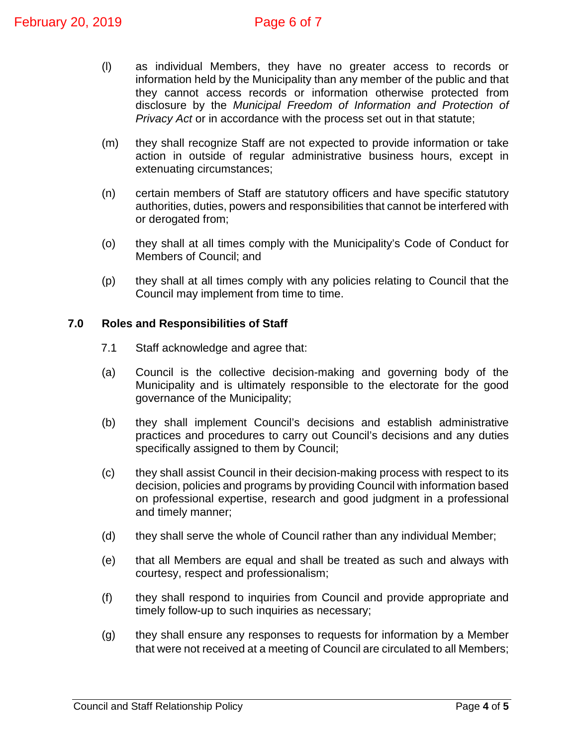- (l) as individual Members, they have no greater access to records or information held by the Municipality than any member of the public and that they cannot access records or information otherwise protected from disclosure by the *Municipal Freedom of Information and Protection of Privacy Act* or in accordance with the process set out in that statute;
- (m) they shall recognize Staff are not expected to provide information or take action in outside of regular administrative business hours, except in extenuating circumstances;
- (n) certain members of Staff are statutory officers and have specific statutory authorities, duties, powers and responsibilities that cannot be interfered with or derogated from;
- (o) they shall at all times comply with the Municipality's Code of Conduct for Members of Council; and
- (p) they shall at all times comply with any policies relating to Council that the Council may implement from time to time.

#### **7.0 Roles and Responsibilities of Staff**

- 7.1 Staff acknowledge and agree that:
- (a) Council is the collective decision-making and governing body of the Municipality and is ultimately responsible to the electorate for the good governance of the Municipality;
- (b) they shall implement Council's decisions and establish administrative practices and procedures to carry out Council's decisions and any duties specifically assigned to them by Council;
- (c) they shall assist Council in their decision-making process with respect to its decision, policies and programs by providing Council with information based on professional expertise, research and good judgment in a professional and timely manner;
- (d) they shall serve the whole of Council rather than any individual Member;
- (e) that all Members are equal and shall be treated as such and always with courtesy, respect and professionalism;
- (f) they shall respond to inquiries from Council and provide appropriate and timely follow-up to such inquiries as necessary;
- (g) they shall ensure any responses to requests for information by a Member that were not received at a meeting of Council are circulated to all Members;